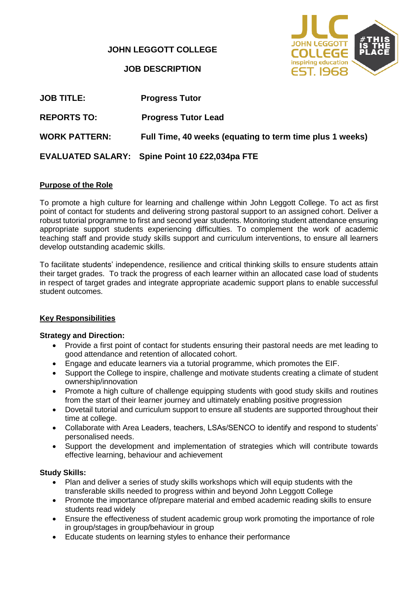**JOHN LEGGOTT COLLEGE**

**JOB DESCRIPTION**



| <b>JOB TITLE:</b>    | <b>Progress Tutor</b>                                    |
|----------------------|----------------------------------------------------------|
| <b>REPORTS TO:</b>   | <b>Progress Tutor Lead</b>                               |
| <b>WORK PATTERN:</b> | Full Time, 40 weeks (equating to term time plus 1 weeks) |
|                      | EVALUATED SALARY: Spine Point 10 £22,034pa FTE           |

### **Purpose of the Role**

To promote a high culture for learning and challenge within John Leggott College. To act as first point of contact for students and delivering strong pastoral support to an assigned cohort. Deliver a robust tutorial programme to first and second year students. Monitoring student attendance ensuring appropriate support students experiencing difficulties. To complement the work of academic teaching staff and provide study skills support and curriculum interventions, to ensure all learners develop outstanding academic skills.

To facilitate students' independence, resilience and critical thinking skills to ensure students attain their target grades. To track the progress of each learner within an allocated case load of students in respect of target grades and integrate appropriate academic support plans to enable successful student outcomes.

#### **Key Responsibilities**

#### **Strategy and Direction:**

- Provide a first point of contact for students ensuring their pastoral needs are met leading to good attendance and retention of allocated cohort.
- Engage and educate learners via a tutorial programme, which promotes the EIF.
- Support the College to inspire, challenge and motivate students creating a climate of student ownership/innovation
- Promote a high culture of challenge equipping students with good study skills and routines from the start of their learner journey and ultimately enabling positive progression
- Dovetail tutorial and curriculum support to ensure all students are supported throughout their time at college.
- Collaborate with Area Leaders, teachers, LSAs/SENCO to identify and respond to students' personalised needs.
- Support the development and implementation of strategies which will contribute towards effective learning, behaviour and achievement

#### **Study Skills:**

- Plan and deliver a series of study skills workshops which will equip students with the transferable skills needed to progress within and beyond John Leggott College
- Promote the importance of/prepare material and embed academic reading skills to ensure students read widely
- Ensure the effectiveness of student academic group work promoting the importance of role in group/stages in group/behaviour in group
- Educate students on learning styles to enhance their performance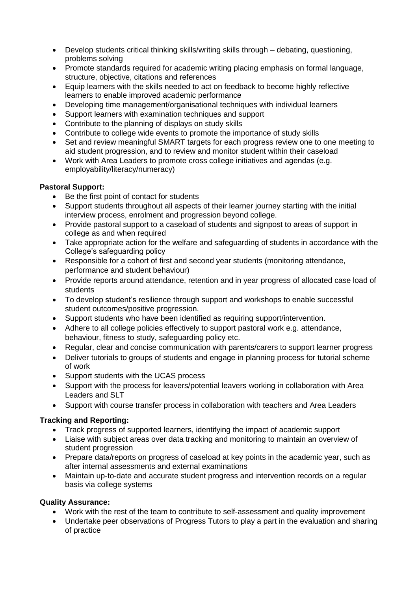- Develop students critical thinking skills/writing skills through debating, questioning, problems solving
- Promote standards required for academic writing placing emphasis on formal language, structure, objective, citations and references
- Equip learners with the skills needed to act on feedback to become highly reflective learners to enable improved academic performance
- Developing time management/organisational techniques with individual learners
- Support learners with examination techniques and support
- Contribute to the planning of displays on study skills
- Contribute to college wide events to promote the importance of study skills
- Set and review meaningful SMART targets for each progress review one to one meeting to aid student progression, and to review and monitor student within their caseload
- Work with Area Leaders to promote cross college initiatives and agendas (e.g. employability/literacy/numeracy)

#### **Pastoral Support:**

- Be the first point of contact for students
- Support students throughout all aspects of their learner journey starting with the initial interview process, enrolment and progression beyond college.
- Provide pastoral support to a caseload of students and signpost to areas of support in college as and when required
- Take appropriate action for the welfare and safeguarding of students in accordance with the College's safeguarding policy
- Responsible for a cohort of first and second year students (monitoring attendance, performance and student behaviour)
- Provide reports around attendance, retention and in year progress of allocated case load of students
- To develop student's resilience through support and workshops to enable successful student outcomes/positive progression.
- Support students who have been identified as requiring support/intervention.
- Adhere to all college policies effectively to support pastoral work e.g. attendance, behaviour, fitness to study, safeguarding policy etc.
- Regular, clear and concise communication with parents/carers to support learner progress
- Deliver tutorials to groups of students and engage in planning process for tutorial scheme of work
- Support students with the UCAS process
- Support with the process for leavers/potential leavers working in collaboration with Area Leaders and SLT
- Support with course transfer process in collaboration with teachers and Area Leaders

## **Tracking and Reporting:**

- Track progress of supported learners, identifying the impact of academic support
- Liaise with subject areas over data tracking and monitoring to maintain an overview of student progression
- Prepare data/reports on progress of caseload at key points in the academic year, such as after internal assessments and external examinations
- Maintain up-to-date and accurate student progress and intervention records on a regular basis via college systems

#### **Quality Assurance:**

- Work with the rest of the team to contribute to self-assessment and quality improvement
- Undertake peer observations of Progress Tutors to play a part in the evaluation and sharing of practice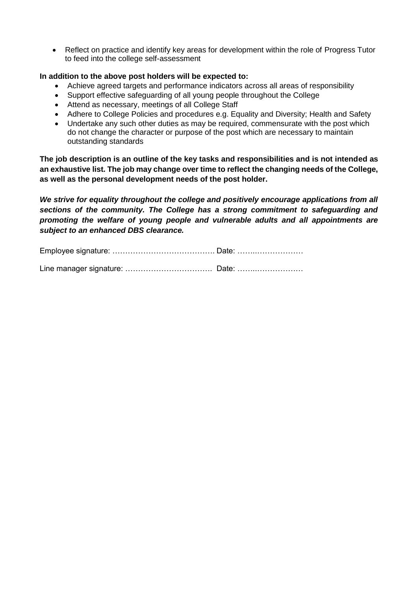• Reflect on practice and identify key areas for development within the role of Progress Tutor to feed into the college self-assessment

#### **In addition to the above post holders will be expected to:**

- Achieve agreed targets and performance indicators across all areas of responsibility
- Support effective safeguarding of all young people throughout the College
- Attend as necessary, meetings of all College Staff
- Adhere to College Policies and procedures e.g. Equality and Diversity; Health and Safety
- Undertake any such other duties as may be required, commensurate with the post which do not change the character or purpose of the post which are necessary to maintain outstanding standards

**The job description is an outline of the key tasks and responsibilities and is not intended as an exhaustive list. The job may change over time to reflect the changing needs of the College, as well as the personal development needs of the post holder.**

*We strive for equality throughout the college and positively encourage applications from all sections of the community. The College has a strong commitment to safeguarding and promoting the welfare of young people and vulnerable adults and all appointments are subject to an enhanced DBS clearance.*

Employee signature: …………………………………. Date: ……..………………

Line manager signature: ……………………………. Date: ……..………………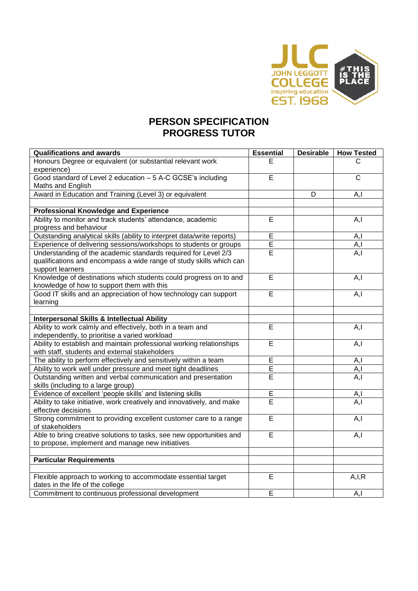

# **PERSON SPECIFICATION PROGRESS TUTOR**

| <b>Qualifications and awards</b>                                                              | <b>Essential</b> | <b>Desirable</b> | <b>How Tested</b> |
|-----------------------------------------------------------------------------------------------|------------------|------------------|-------------------|
| Honours Degree or equivalent (or substantial relevant work                                    | Е                |                  | C                 |
| experience)                                                                                   |                  |                  |                   |
| Good standard of Level 2 education - 5 A-C GCSE's including                                   | E                |                  | $\mathbf C$       |
| Maths and English                                                                             |                  |                  |                   |
| Award in Education and Training (Level 3) or equivalent                                       |                  | D                | A, I              |
|                                                                                               |                  |                  |                   |
| <b>Professional Knowledge and Experience</b>                                                  |                  |                  |                   |
| Ability to monitor and track students' attendance, academic                                   | E                |                  | A, I              |
| progress and behaviour                                                                        |                  |                  |                   |
| Outstanding analytical skills (ability to interpret data/write reports)                       | Ē                |                  | A, I              |
| Experience of delivering sessions/workshops to students or groups                             | $\overline{E}$   |                  | A, I              |
| Understanding of the academic standards required for Level 2/3                                | $\overline{E}$   |                  | A, I              |
| qualifications and encompass a wide range of study skills which can                           |                  |                  |                   |
| support learners                                                                              |                  |                  |                   |
| Knowledge of destinations which students could progress on to and                             | E                |                  | A, I              |
| knowledge of how to support them with this                                                    |                  |                  |                   |
| Good IT skills and an appreciation of how technology can support                              | E                |                  | A, I              |
| learning                                                                                      |                  |                  |                   |
|                                                                                               |                  |                  |                   |
| Interpersonal Skills & Intellectual Ability                                                   |                  |                  |                   |
| Ability to work calmly and effectively, both in a team and                                    | $\overline{E}$   |                  | A, I              |
| independently, to prioritise a varied workload                                                |                  |                  |                   |
| Ability to establish and maintain professional working relationships                          | E                |                  | A, I              |
| with staff, students and external stakeholders                                                |                  |                  |                   |
| The ability to perform effectively and sensitively within a team                              | E                |                  | A, I              |
| Ability to work well under pressure and meet tight deadlines                                  | Ε                |                  | A, I              |
| Outstanding written and verbal communication and presentation                                 | E                |                  | A, I              |
| skills (including to a large group)                                                           |                  |                  |                   |
| Evidence of excellent 'people skills' and listening skills                                    | $\overline{E}$   |                  | A,l               |
| Ability to take initiative, work creatively and innovatively, and make<br>effective decisions | E                |                  | A, I              |
| Strong commitment to providing excellent customer care to a range                             | $\overline{E}$   |                  | $\overline{A, I}$ |
| of stakeholders                                                                               |                  |                  |                   |
| Able to bring creative solutions to tasks, see new opportunities and                          | E                |                  | A, I              |
| to propose, implement and manage new initiatives                                              |                  |                  |                   |
|                                                                                               |                  |                  |                   |
| <b>Particular Requirements</b>                                                                |                  |                  |                   |
|                                                                                               |                  |                  |                   |
| Flexible approach to working to accommodate essential target                                  | E                |                  | A, I, R           |
| dates in the life of the college                                                              |                  |                  |                   |
| Commitment to continuous professional development                                             | E                |                  | A, I              |